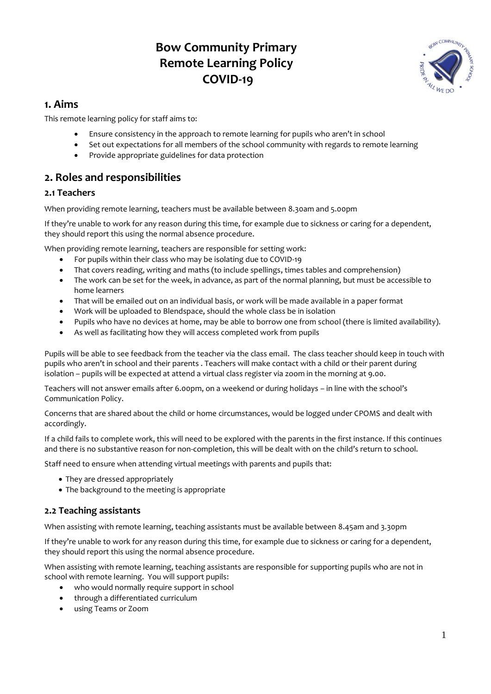# **Bow Community Primary Remote Learning Policy COVID-19**



## **1. Aims**

This remote learning policy for staff aims to:

- Ensure consistency in the approach to remote learning for pupils who aren't in school
- Set out expectations for all members of the school community with regards to remote learning
- Provide appropriate guidelines for data protection

# **2. Roles and responsibilities**

#### **2.1 Teachers**

When providing remote learning, teachers must be available between 8.30am and 5.00pm

If they're unable to work for any reason during this time, for example due to sickness or caring for a dependent, they should report this using the normal absence procedure.

When providing remote learning, teachers are responsible for setting work:

- For pupils within their class who may be isolating due to COVID-19
- That covers reading, writing and maths (to include spellings, times tables and comprehension)
- The work can be set for the week, in advance, as part of the normal planning, but must be accessible to home learners
- That will be emailed out on an individual basis, or work will be made available in a paper format
- Work will be uploaded to Blendspace, should the whole class be in isolation
- Pupils who have no devices at home, may be able to borrow one from school (there is limited availability).
- As well as facilitating how they will access completed work from pupils

Pupils will be able to see feedback from the teacher via the class email. The class teacher should keep in touch with pupils who aren't in school and their parents . Teachers will make contact with a child or their parent during isolation – pupils will be expected at attend a virtual class register via zoom in the morning at 9.00.

Teachers will not answer emails after 6.00pm, on a weekend or during holidays – in line with the school's Communication Policy.

Concerns that are shared about the child or home circumstances, would be logged under CPOMS and dealt with accordingly.

If a child fails to complete work, this will need to be explored with the parents in the first instance. If this continues and there is no substantive reason for non-completion, this will be dealt with on the child's return to school.

Staff need to ensure when attending virtual meetings with parents and pupils that:

- They are dressed appropriately
- The background to the meeting is appropriate

## **2.2 Teaching assistants**

When assisting with remote learning, teaching assistants must be available between 8.45am and 3.30pm

If they're unable to work for any reason during this time, for example due to sickness or caring for a dependent, they should report this using the normal absence procedure.

When assisting with remote learning, teaching assistants are responsible for supporting pupils who are not in school with remote learning. You will support pupils:

- who would normally require support in school
- through a differentiated curriculum
- using Teams or Zoom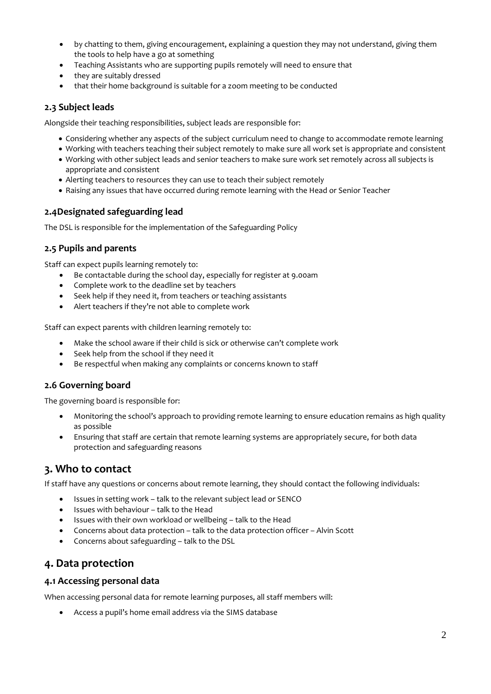- by chatting to them, giving encouragement, explaining a question they may not understand, giving them the tools to help have a go at something
- Teaching Assistants who are supporting pupils remotely will need to ensure that
- they are suitably dressed
- that their home background is suitable for a zoom meeting to be conducted

## **2.3 Subject leads**

Alongside their teaching responsibilities, subject leads are responsible for:

- Considering whether any aspects of the subject curriculum need to change to accommodate remote learning
- Working with teachers teaching their subject remotely to make sure all work set is appropriate and consistent
- Working with other subject leads and senior teachers to make sure work set remotely across all subjects is appropriate and consistent
- Alerting teachers to resources they can use to teach their subject remotely
- Raising any issues that have occurred during remote learning with the Head or Senior Teacher

#### **2.4Designated safeguarding lead**

The DSL is responsible for the implementation of the Safeguarding Policy

#### **2.5 Pupils and parents**

Staff can expect pupils learning remotely to:

- Be contactable during the school day, especially for register at 9.00am
- Complete work to the deadline set by teachers
- Seek help if they need it, from teachers or teaching assistants
- Alert teachers if they're not able to complete work

Staff can expect parents with children learning remotely to:

- Make the school aware if their child is sick or otherwise can't complete work
- Seek help from the school if they need it
- Be respectful when making any complaints or concerns known to staff

#### **2.6 Governing board**

The governing board is responsible for:

- Monitoring the school's approach to providing remote learning to ensure education remains as high quality as possible
- Ensuring that staff are certain that remote learning systems are appropriately secure, for both data protection and safeguarding reasons

## **3. Who to contact**

If staff have any questions or concerns about remote learning, they should contact the following individuals:

- Issues in setting work talk to the relevant subject lead or SENCO
- Issues with behaviour talk to the Head
- Issues with their own workload or wellbeing talk to the Head
- Concerns about data protection talk to the data protection officer Alvin Scott
- Concerns about safeguarding talk to the DSL

## **4. Data protection**

#### **4.1 Accessing personal data**

When accessing personal data for remote learning purposes, all staff members will:

Access a pupil's home email address via the SIMS database